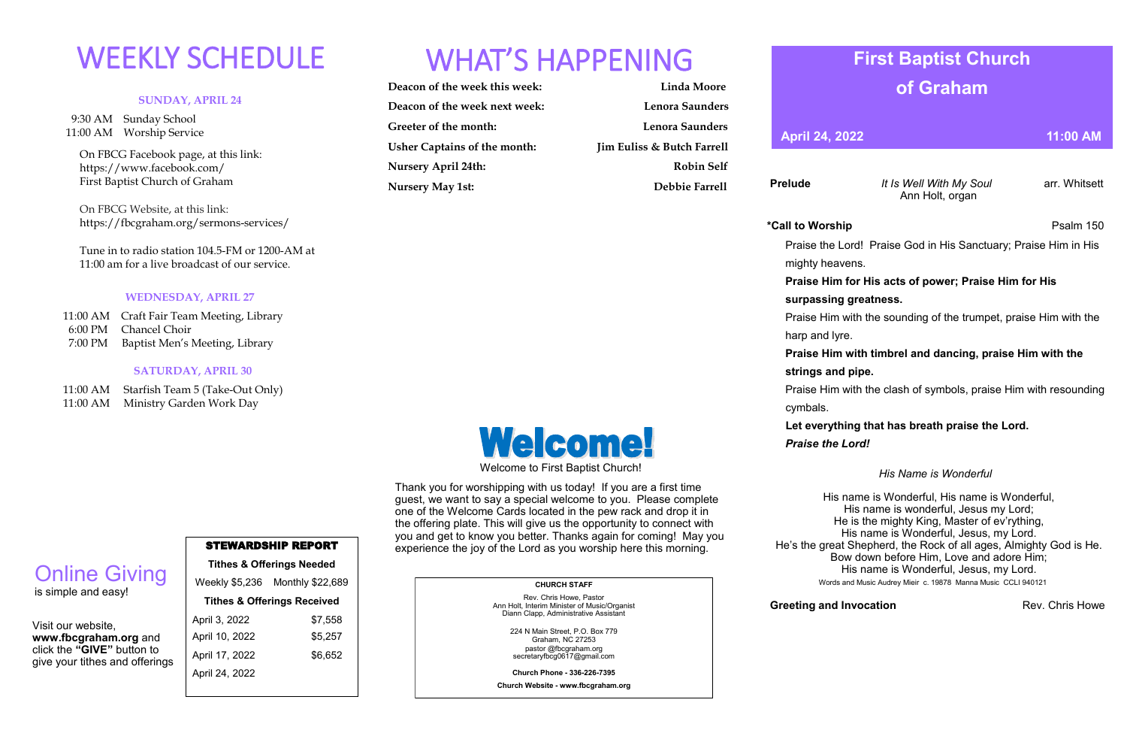#### **SUNDAY, APRIL 24**

 9:30 AM Sunday School 11:00 AM Worship Service

 On FBCG Facebook page, at this link: [https://www.facebook.com/](https://www.facebook.com/First%20Baptist%20Church%20of%20Graham)  [First Baptist Church of Graham](https://www.facebook.com/First%20Baptist%20Church%20of%20Graham)

 On FBCG Website, at this link: <https://fbcgraham.org/sermons-services/>

 Tune in to radio station 104.5-FM or 1200-AM at 11:00 am for a live broadcast of our service.

#### **WEDNESDAY, APRIL 27**

|  | 11:00 AM Craft Fair Team Meeting, Library |
|--|-------------------------------------------|
|  | 6:00 PM Chancel Choir                     |
|  | 7:00 PM Baptist Men's Meeting, Library    |

#### **SATURDAY, APRIL 30**

11:00 AM Starfish Team 5 (Take-Out Only)

11:00 AM Ministry Garden Work Day

| Deacon of the week this week:       | <b>Linda Moore</b>                    |
|-------------------------------------|---------------------------------------|
| Deacon of the week next week:       | Lenora Saunders                       |
| Greeter of the month:               | Lenora Saunders                       |
| <b>Usher Captains of the month:</b> | <b>Jim Euliss &amp; Butch Farrell</b> |
| <b>Nursery April 24th:</b>          | <b>Robin Self</b>                     |
| <b>Nursery May 1st:</b>             | Debbie Farrell                        |



### STEWARDSHIP REPORT

**Tithes & Offerings Needed** Weekly \$5,236 Monthly \$22,689 **Tithes & Offerings Received** April 3, 2022 \$7,558 April 10, 2022 \$5,257 April 17, 2022 \$6,652 April 24, 2022

Visit our website,

**www.fbcgraham.org** and click the **"GIVE"** button to give your tithes and offerings

Online Giving

# WEEKLY SCHEDULE WHAT'S HAPPENING

is simple and easy!

#### **CHURCH STAFF**

Rev. Chris Howe, Pastor Ann Holt, Interim Minister of Music/Organist Diann Clapp, Administrative Assistant

> 224 N Main Street, P.O. Box 779 Graham, NC 27253 pastor @fbcgraham.org secretaryfbcg0617@gmail.com

**Church Phone - 336-226-7395**

**Church Website - www.fbcgraham.org**

**Prelude** *It Is Well With My Soul* arr. Whitsett Ann Holt, organ

Praise the Lord! Praise God in His Sanctuary; Praise Him in His

#### **Praise Him for His acts of power; Praise Him for His**

#### **surpassing greatness.**

**\*Call to Worship** Psalm 150 mighty heavens. harp and lyre. cymbals.

Praise Him with the sounding of the trumpet, praise Him with the

#### **Praise Him with timbrel and dancing, praise Him with the strings and pipe.**

Praise Him with the clash of symbols, praise Him with resounding

### **Let everything that has breath praise the Lord.**

 *Praise the Lord!*

#### *His Name is Wonderful*

**Greeting and Invocation Rev. Chris Howe** Rev. Chris Howe

His name is Wonderful, His name is Wonderful, His name is wonderful, Jesus my Lord; He is the mighty King, Master of ev'rything, His name is Wonderful, Jesus, my Lord. Bow down before Him, Love and adore Him; His name is Wonderful, Jesus, my Lord. Words and Music Audrey Mieir c. 19878 Manna Music CCLI 940121

He's the great Shepherd, the Rock of all ages, Almighty God is He.

## **First Baptist Church of Graham**

**April 24, 2022 11:00 AM** 

Welcome to First Baptist Church!

**Welcome!** 

Thank you for worshipping with us today! If you are a first time guest, we want to say a special welcome to you. Please complete

| one of the Welcome Cards located in the pew rack and drop it in       |  |  |  |  |  |
|-----------------------------------------------------------------------|--|--|--|--|--|
| the offering plate. This will give us the opportunity to connect with |  |  |  |  |  |
| you and get to know you better. Thanks again for coming! May you      |  |  |  |  |  |
| experience the joy of the Lord as you worship here this morning.      |  |  |  |  |  |
|                                                                       |  |  |  |  |  |
|                                                                       |  |  |  |  |  |